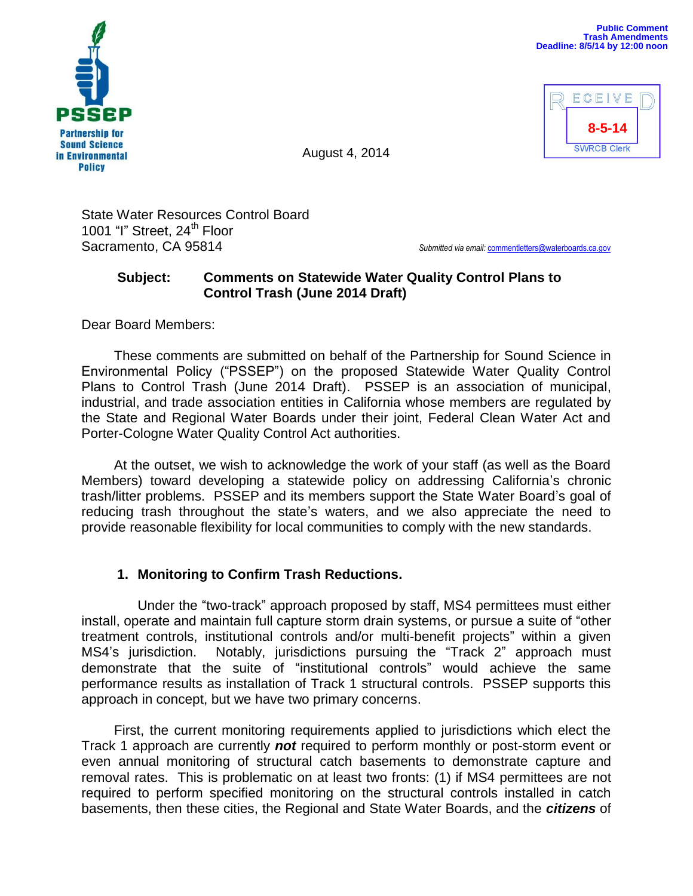

ECEIVE **8-5-14SWRCB Clerk** 

August 4, 2014

State Water Resources Control Board 1001 "I" Street, 24<sup>th</sup> Floor Sacramento, CA 95814 *Submitted via email:* [commentletters@waterboards.ca.gov](mailto:commentletters@waterboards.ca.gov)

## **Subject: Comments on Statewide Water Quality Control Plans to Control Trash (June 2014 Draft)**

Dear Board Members:

These comments are submitted on behalf of the Partnership for Sound Science in Environmental Policy ("PSSEP") on the proposed Statewide Water Quality Control Plans to Control Trash (June 2014 Draft). PSSEP is an association of municipal, industrial, and trade association entities in California whose members are regulated by the State and Regional Water Boards under their joint, Federal Clean Water Act and Porter-Cologne Water Quality Control Act authorities.

At the outset, we wish to acknowledge the work of your staff (as well as the Board Members) toward developing a statewide policy on addressing California's chronic trash/litter problems. PSSEP and its members support the State Water Board's goal of reducing trash throughout the state's waters, and we also appreciate the need to provide reasonable flexibility for local communities to comply with the new standards.

# **1. Monitoring to Confirm Trash Reductions.**

Under the "two-track" approach proposed by staff, MS4 permittees must either install, operate and maintain full capture storm drain systems, or pursue a suite of "other treatment controls, institutional controls and/or multi-benefit projects" within a given MS4's jurisdiction. Notably, jurisdictions pursuing the "Track 2" approach must demonstrate that the suite of "institutional controls" would achieve the same performance results as installation of Track 1 structural controls. PSSEP supports this approach in concept, but we have two primary concerns.

First, the current monitoring requirements applied to jurisdictions which elect the Track 1 approach are currently *not* required to perform monthly or post-storm event or even annual monitoring of structural catch basements to demonstrate capture and removal rates. This is problematic on at least two fronts: (1) if MS4 permittees are not required to perform specified monitoring on the structural controls installed in catch basements, then these cities, the Regional and State Water Boards, and the *citizens* of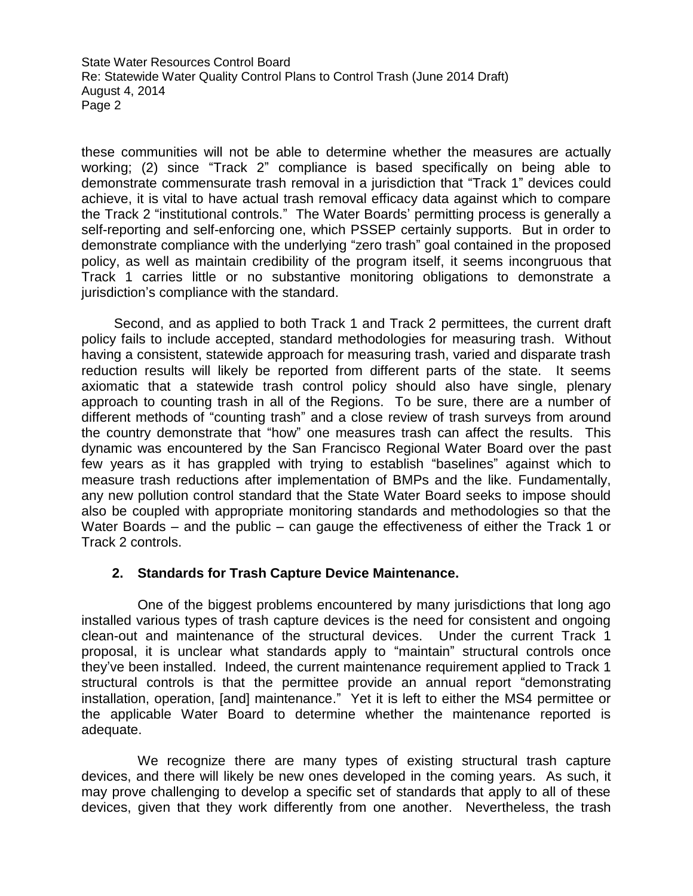these communities will not be able to determine whether the measures are actually working; (2) since "Track 2" compliance is based specifically on being able to demonstrate commensurate trash removal in a jurisdiction that "Track 1" devices could achieve, it is vital to have actual trash removal efficacy data against which to compare the Track 2 "institutional controls." The Water Boards' permitting process is generally a self-reporting and self-enforcing one, which PSSEP certainly supports. But in order to demonstrate compliance with the underlying "zero trash" goal contained in the proposed policy, as well as maintain credibility of the program itself, it seems incongruous that Track 1 carries little or no substantive monitoring obligations to demonstrate a jurisdiction's compliance with the standard.

Second, and as applied to both Track 1 and Track 2 permittees, the current draft policy fails to include accepted, standard methodologies for measuring trash. Without having a consistent, statewide approach for measuring trash, varied and disparate trash reduction results will likely be reported from different parts of the state. It seems axiomatic that a statewide trash control policy should also have single, plenary approach to counting trash in all of the Regions. To be sure, there are a number of different methods of "counting trash" and a close review of trash surveys from around the country demonstrate that "how" one measures trash can affect the results. This dynamic was encountered by the San Francisco Regional Water Board over the past few years as it has grappled with trying to establish "baselines" against which to measure trash reductions after implementation of BMPs and the like. Fundamentally, any new pollution control standard that the State Water Board seeks to impose should also be coupled with appropriate monitoring standards and methodologies so that the Water Boards – and the public – can gauge the effectiveness of either the Track 1 or Track 2 controls.

### **2. Standards for Trash Capture Device Maintenance.**

One of the biggest problems encountered by many jurisdictions that long ago installed various types of trash capture devices is the need for consistent and ongoing clean-out and maintenance of the structural devices. Under the current Track 1 proposal, it is unclear what standards apply to "maintain" structural controls once they've been installed. Indeed, the current maintenance requirement applied to Track 1 structural controls is that the permittee provide an annual report "demonstrating installation, operation, [and] maintenance." Yet it is left to either the MS4 permittee or the applicable Water Board to determine whether the maintenance reported is adequate.

We recognize there are many types of existing structural trash capture devices, and there will likely be new ones developed in the coming years. As such, it may prove challenging to develop a specific set of standards that apply to all of these devices, given that they work differently from one another. Nevertheless, the trash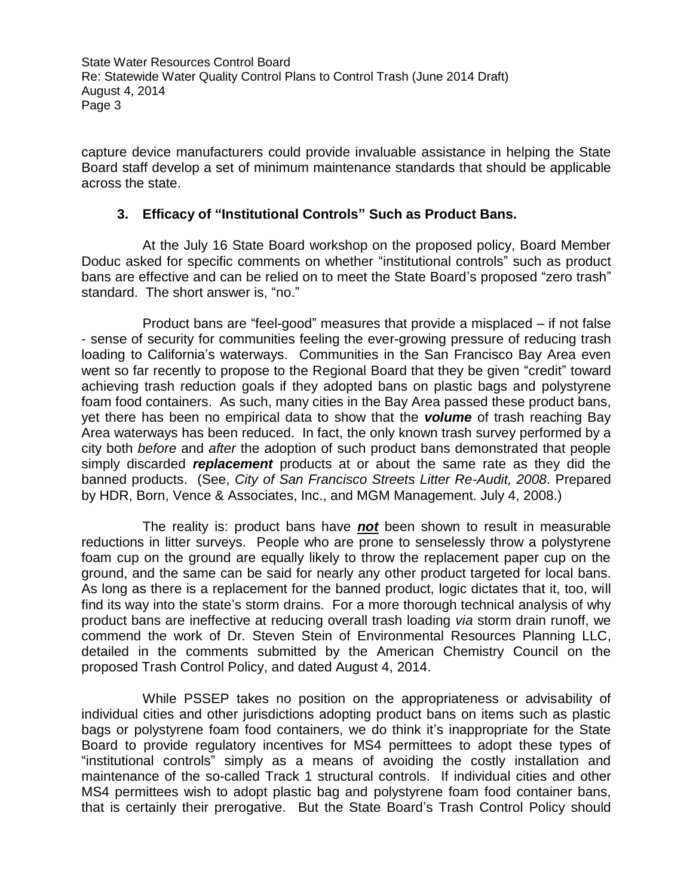capture device manufacturers could provide invaluable assistance in helping the State Board staff develop a set of minimum maintenance standards that should be applicable across the state.

### **3. Efficacy of "Institutional Controls" Such as Product Bans.**

At the July 16 State Board workshop on the proposed policy, Board Member Doduc asked for specific comments on whether "institutional controls" such as product bans are effective and can be relied on to meet the State Board's proposed "zero trash" standard. The short answer is, "no."

Product bans are "feel-good" measures that provide a misplaced – if not false - sense of security for communities feeling the ever-growing pressure of reducing trash loading to California's waterways. Communities in the San Francisco Bay Area even went so far recently to propose to the Regional Board that they be given "credit" toward achieving trash reduction goals if they adopted bans on plastic bags and polystyrene foam food containers. As such, many cities in the Bay Area passed these product bans, yet there has been no empirical data to show that the *volume* of trash reaching Bay Area waterways has been reduced. In fact, the only known trash survey performed by a city both *before* and *after* the adoption of such product bans demonstrated that people simply discarded *replacement* products at or about the same rate as they did the banned products. (See, *City of San Francisco Streets Litter Re-Audit, 2008*. Prepared by HDR, Born, Vence & Associates, Inc., and MGM Management. July 4, 2008.)

The reality is: product bans have *not* been shown to result in measurable reductions in litter surveys. People who are prone to senselessly throw a polystyrene foam cup on the ground are equally likely to throw the replacement paper cup on the ground, and the same can be said for nearly any other product targeted for local bans. As long as there is a replacement for the banned product, logic dictates that it, too, will find its way into the state's storm drains. For a more thorough technical analysis of why product bans are ineffective at reducing overall trash loading *via* storm drain runoff, we commend the work of Dr. Steven Stein of Environmental Resources Planning LLC, detailed in the comments submitted by the American Chemistry Council on the proposed Trash Control Policy, and dated August 4, 2014.

While PSSEP takes no position on the appropriateness or advisability of individual cities and other jurisdictions adopting product bans on items such as plastic bags or polystyrene foam food containers, we do think it's inappropriate for the State Board to provide regulatory incentives for MS4 permittees to adopt these types of "institutional controls" simply as a means of avoiding the costly installation and maintenance of the so-called Track 1 structural controls. If individual cities and other MS4 permittees wish to adopt plastic bag and polystyrene foam food container bans, that is certainly their prerogative. But the State Board's Trash Control Policy should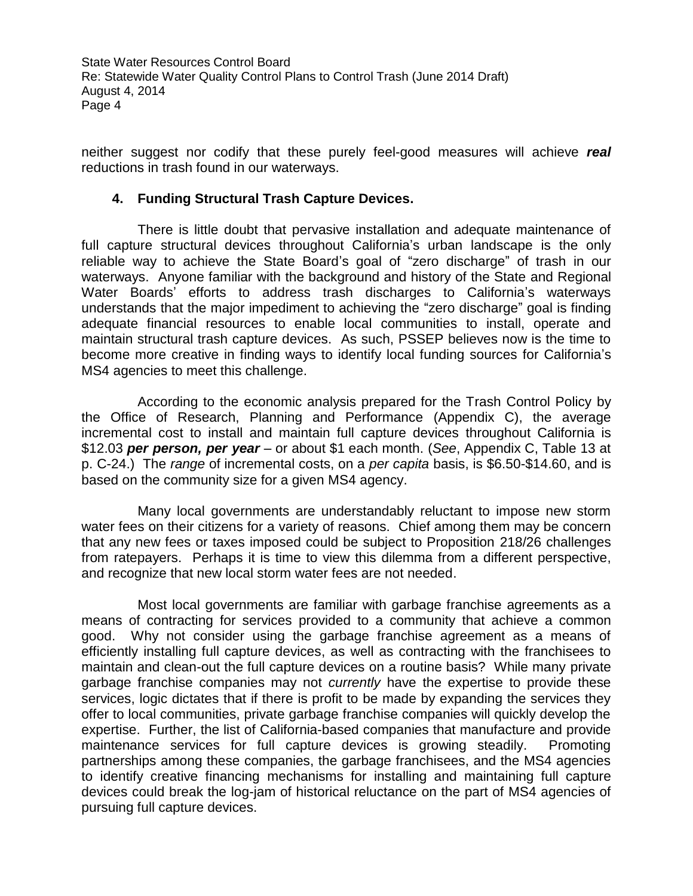neither suggest nor codify that these purely feel-good measures will achieve *real* reductions in trash found in our waterways.

#### **4. Funding Structural Trash Capture Devices.**

There is little doubt that pervasive installation and adequate maintenance of full capture structural devices throughout California's urban landscape is the only reliable way to achieve the State Board's goal of "zero discharge" of trash in our waterways. Anyone familiar with the background and history of the State and Regional Water Boards' efforts to address trash discharges to California's waterways understands that the major impediment to achieving the "zero discharge" goal is finding adequate financial resources to enable local communities to install, operate and maintain structural trash capture devices. As such, PSSEP believes now is the time to become more creative in finding ways to identify local funding sources for California's MS4 agencies to meet this challenge.

According to the economic analysis prepared for the Trash Control Policy by the Office of Research, Planning and Performance (Appendix C), the average incremental cost to install and maintain full capture devices throughout California is \$12.03 *per person, per year* – or about \$1 each month. (*See*, Appendix C, Table 13 at p. C-24.) The *range* of incremental costs, on a *per capita* basis, is \$6.50-\$14.60, and is based on the community size for a given MS4 agency.

Many local governments are understandably reluctant to impose new storm water fees on their citizens for a variety of reasons. Chief among them may be concern that any new fees or taxes imposed could be subject to Proposition 218/26 challenges from ratepayers. Perhaps it is time to view this dilemma from a different perspective, and recognize that new local storm water fees are not needed.

Most local governments are familiar with garbage franchise agreements as a means of contracting for services provided to a community that achieve a common good. Why not consider using the garbage franchise agreement as a means of efficiently installing full capture devices, as well as contracting with the franchisees to maintain and clean-out the full capture devices on a routine basis? While many private garbage franchise companies may not *currently* have the expertise to provide these services, logic dictates that if there is profit to be made by expanding the services they offer to local communities, private garbage franchise companies will quickly develop the expertise. Further, the list of California-based companies that manufacture and provide maintenance services for full capture devices is growing steadily. Promoting partnerships among these companies, the garbage franchisees, and the MS4 agencies to identify creative financing mechanisms for installing and maintaining full capture devices could break the log-jam of historical reluctance on the part of MS4 agencies of pursuing full capture devices.